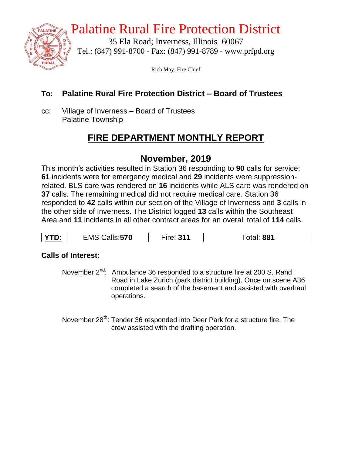

## Palatine Rural Fire Protection District

35 Ela Road; Inverness, Illinois 60067 Tel.: (847) 991-8700 - Fax: (847) 991-8789 - www.prfpd.org

Rich May, Fire Chief

#### **To: Palatine Rural Fire Protection District – Board of Trustees**

cc: Village of Inverness – Board of Trustees Palatine Township

## **FIRE DEPARTMENT MONTHLY REPORT**

## **November, 2019**

This month's activities resulted in Station 36 responding to **90** calls for service; **61** incidents were for emergency medical and **29** incidents were suppressionrelated. BLS care was rendered on **16** incidents while ALS care was rendered on **37** calls. The remaining medical did not require medical care. Station 36 responded to **42** calls within our section of the Village of Inverness and **3** calls in the other side of Inverness. The District logged **13** calls within the Southeast Area and **11** incidents in all other contract areas for an overall total of **114** calls.

| <b>VTD</b><br>alls: <b>570</b><br>881<br>– n <i>n</i> c<br>, ,<br>∠lVI`<br>υ. |
|-------------------------------------------------------------------------------|
|-------------------------------------------------------------------------------|

#### **Calls of Interest:**

November  $2^{nd}$ : Ambulance 36 responded to a structure fire at 200 S. Rand Road in Lake Zurich (park district building). Once on scene A36 completed a search of the basement and assisted with overhaul operations.

November 28<sup>th</sup>: Tender 36 responded into Deer Park for a structure fire. The crew assisted with the drafting operation.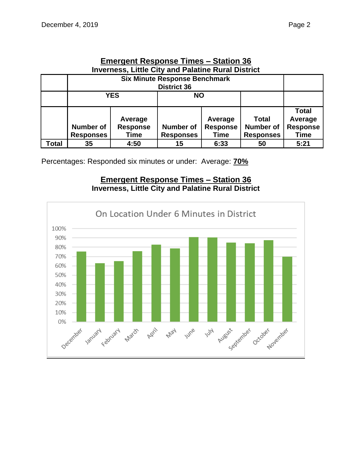| Elliergellt Response Times – Station 30                   |                                      |                 |                  |                 |                  |                 |  |  |  |
|-----------------------------------------------------------|--------------------------------------|-----------------|------------------|-----------------|------------------|-----------------|--|--|--|
| <b>Inverness, Little City and Palatine Rural District</b> |                                      |                 |                  |                 |                  |                 |  |  |  |
|                                                           | <b>Six Minute Response Benchmark</b> |                 |                  |                 |                  |                 |  |  |  |
|                                                           | <b>District 36</b>                   |                 |                  |                 |                  |                 |  |  |  |
|                                                           |                                      | <b>YES</b>      | <b>NO</b>        |                 |                  |                 |  |  |  |
|                                                           |                                      |                 |                  |                 |                  |                 |  |  |  |
|                                                           |                                      |                 |                  |                 |                  | <b>Total</b>    |  |  |  |
|                                                           |                                      | Average         |                  | Average         | <b>Total</b>     | Average         |  |  |  |
|                                                           | <b>Number of</b>                     | <b>Response</b> | <b>Number of</b> | <b>Response</b> | <b>Number of</b> | <b>Response</b> |  |  |  |
|                                                           | <b>Responses</b>                     | Time            | <b>Responses</b> | Time            | <b>Responses</b> | Time            |  |  |  |
| Total                                                     | 35                                   | 4:50            | 15               | 6:33            | 50               | 5:21            |  |  |  |

# **Emergent Response Times – Station 36**

Percentages: Responded six minutes or under: Average: **70%**

#### **Emergent Response Times – Station 36 Inverness, Little City and Palatine Rural District**

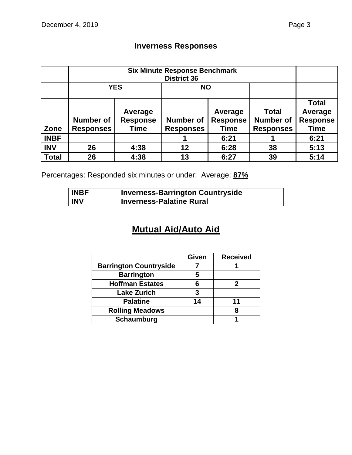## **Inverness Responses**

|              | <b>Six Minute Response Benchmark</b><br><b>District 36</b> |                                    |                                      |                                           |                                                      |                                                           |  |
|--------------|------------------------------------------------------------|------------------------------------|--------------------------------------|-------------------------------------------|------------------------------------------------------|-----------------------------------------------------------|--|
|              | <b>YES</b>                                                 |                                    | <b>NO</b>                            |                                           |                                                      |                                                           |  |
| Zone         | <b>Number of</b><br><b>Responses</b>                       | Average<br><b>Response</b><br>Time | <b>Number of</b><br><b>Responses</b> | Average<br><b>Response</b><br><b>Time</b> | <b>Total</b><br><b>Number of</b><br><b>Responses</b> | <b>Total</b><br>Average<br><b>Response</b><br><b>Time</b> |  |
| <b>INBF</b>  |                                                            |                                    |                                      | 6:21                                      |                                                      | 6:21                                                      |  |
| <b>INV</b>   | 26                                                         | 4:38                               | 12                                   | 6:28                                      | 38                                                   | 5:13                                                      |  |
| <b>Total</b> | 26                                                         | 4:38                               | 13                                   | 6:27                                      | 39                                                   | 5:14                                                      |  |

Percentages: Responded six minutes or under: Average: **87%**

| <b>INBF</b> | <b>Inverness-Barrington Countryside</b> |
|-------------|-----------------------------------------|
| <b>INV</b>  | <b>Inverness-Palatine Rural</b>         |

## **Mutual Aid/Auto Aid**

|                               | <b>Given</b> | <b>Received</b> |
|-------------------------------|--------------|-----------------|
| <b>Barrington Countryside</b> |              |                 |
| <b>Barrington</b>             | 5            |                 |
| <b>Hoffman Estates</b>        |              |                 |
| <b>Lake Zurich</b>            | 3            |                 |
| <b>Palatine</b>               | 14           | 11              |
| <b>Rolling Meadows</b>        |              |                 |
| <b>Schaumburg</b>             |              |                 |